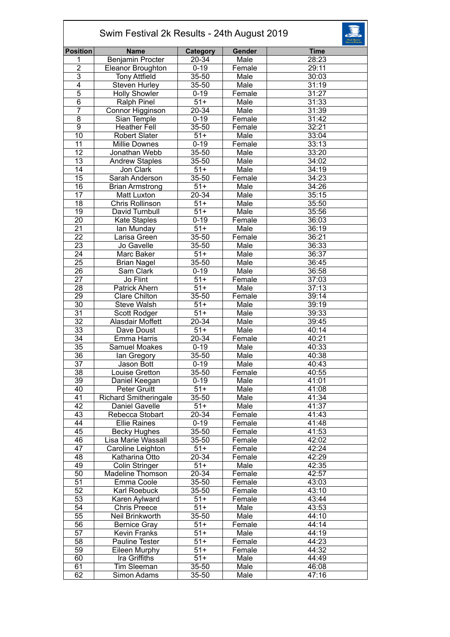| Swim Festival 2k Results - 24th August 2019 |                              |                  |        |             |  |  |  |
|---------------------------------------------|------------------------------|------------------|--------|-------------|--|--|--|
| <b>Position</b>                             | <b>Name</b>                  | Category         | Gender | <b>Time</b> |  |  |  |
| 1                                           | Benjamin Procter             | 20-34            | Male   | 28:23       |  |  |  |
| $\overline{c}$                              | Eleanor Broughton            | $0 - 19$         | Female | 29:11       |  |  |  |
| $\overline{3}$                              | <b>Tony Attfield</b>         | 35-50            | Male   | 30:03       |  |  |  |
| $\overline{4}$                              | Steven Hurley                | 35-50            | Male   | 31:19       |  |  |  |
| $\overline{5}$                              | <b>Holly Showler</b>         | $0 - 19$         | Female | 31:27       |  |  |  |
| $\overline{6}$                              | <b>Ralph Pinel</b>           | $51+$            | Male   | 31:33       |  |  |  |
| $\overline{7}$                              | Connor Higginson             | 20-34            | Male   | 31:39       |  |  |  |
| 8                                           | Sian Temple                  | $0 - 19$         | Female | 31:42       |  |  |  |
| $\overline{9}$                              | <b>Heather Fell</b>          | 35-50            | Female | 32:21       |  |  |  |
| $\overline{10}$                             | <b>Robert Slater</b>         | $51+$            | Male   | 33:04       |  |  |  |
| $\overline{11}$                             | <b>Millie Downes</b>         | $0 - 19$         | Female | 33:13       |  |  |  |
| $\overline{12}$                             | Jonathan Webb                | 35-50            | Male   | 33:20       |  |  |  |
| $\overline{13}$                             | <b>Andrew Staples</b>        | 35-50            | Male   | 34:02       |  |  |  |
| $\overline{14}$                             | Jon Clark                    | $51+$            | Male   | 34:19       |  |  |  |
| 15                                          |                              |                  |        |             |  |  |  |
|                                             | Sarah Anderson               | 35-50            | Female | 34:23       |  |  |  |
| 16                                          | <b>Brian Armstrong</b>       | $51+$            | Male   | 34:26       |  |  |  |
| $\overline{17}$                             | <b>Matt Luxton</b>           | $20 - 34$        | Male   | 35:15       |  |  |  |
| $\overline{18}$                             | Chris Rollinson              | $51+$            | Male   | 35:50       |  |  |  |
| $\overline{19}$                             | David Turnbull               | $51+$            | Male   | 35:56       |  |  |  |
| $\overline{20}$                             | <b>Kate Staples</b>          | $0 - 19$         | Female | 36:03       |  |  |  |
| 21                                          | lan Munday                   | $51+$            | Male   | 36:19       |  |  |  |
| 22                                          | Larisa Green                 | 35-50            | Female | 36:21       |  |  |  |
| 23                                          | Jo Gavelle                   | 35-50            | Male   | 36:33       |  |  |  |
| 24                                          | Marc Baker                   | $51+$            | Male   | 36:37       |  |  |  |
| $\overline{25}$                             | <b>Brian Nagel</b>           | 35-50            | Male   | 36:45       |  |  |  |
| 26                                          | Sam Clark                    | $0 - 19$         | Male   | 36:58       |  |  |  |
| $\overline{27}$                             | Jo Flint                     | $51+$            | Female | 37:03       |  |  |  |
| $\overline{28}$                             | <b>Patrick Ahern</b>         | $\overline{51+}$ | Male   | 37:13       |  |  |  |
| 29                                          | <b>Clare Chilton</b>         | 35-50            | Female | 39:14       |  |  |  |
| 30                                          | <b>Steve Walsh</b>           | $51+$            | Male   | 39:19       |  |  |  |
| 31                                          | Scott Rodger                 | $51+$            | Male   | 39:33       |  |  |  |
| $\overline{32}$                             | Alasdair Moffett             | $20 - 34$        | Male   | 39:45       |  |  |  |
| $\overline{33}$                             | Dave Doust                   | $\overline{51+}$ | Male   | 40:14       |  |  |  |
| $\overline{34}$                             | Emma Harris                  | 20-34            | Female | 40:21       |  |  |  |
| $\overline{35}$                             | Samuel Moakes                | $0 - 19$         | Male   | 40:33       |  |  |  |
| 36                                          | lan Gregory                  | 35-50            | Male   | 40:38       |  |  |  |
| 37                                          | Jason Bott                   | $0 - 19$         | Male   | 40:43       |  |  |  |
| 38                                          | Louise Gretton               | 35-50            | Female | 40:55       |  |  |  |
| $\overline{39}$                             | Daniel Keegan                | $0 - 19$         | Male   | 41:01       |  |  |  |
| 40                                          | <b>Peter Gruitt</b>          | $51+$            | Male   | 41:08       |  |  |  |
| 41                                          | <b>Richard Smitheringale</b> | 35-50            | Male   | 41:34       |  |  |  |
| 42                                          | Daniel Gavelle               | $\sqrt{51+}$     | Male   | 41:37       |  |  |  |
| 43                                          | Rebecca Stobart              | 20-34            | Female | 41:43       |  |  |  |
| 44                                          | <b>Ellie Raines</b>          | $0 - 19$         | Female | 41:48       |  |  |  |
| 45                                          | Becky Hughes                 | 35-50            | Female | 41:53       |  |  |  |
| 46                                          | Lisa Marie Wassall           | 35-50            | Female | 42:02       |  |  |  |
| $\overline{47}$                             | Caroline Leighton            | $51+$            | Female | 42:24       |  |  |  |
| 48                                          | Katharina Otto               | 20-34            | Female | 42:29       |  |  |  |
| 49                                          | <b>Colin Stringer</b>        | $51+$            | Male   | 42:35       |  |  |  |
| 50                                          |                              |                  |        |             |  |  |  |
| 51                                          | Madeline Thomson             | 20-34            | Female | 42:57       |  |  |  |
|                                             | Emma Coole                   | 35-50            | Female | 43:03       |  |  |  |
| 52                                          | Karl Roebuck                 | 35-50            | Female | 43:10       |  |  |  |
| $\overline{53}$                             | Karen Aylward                | $51+$            | Female | 43:44       |  |  |  |
| $\overline{54}$                             | Chris Preece                 | $51+$            | Male   | 43:53       |  |  |  |
| 55                                          | Neil Brinkworth              | 35-50            | Male   | 44:10       |  |  |  |
| 56                                          | <b>Bernice Gray</b>          | $51+$            | Female | 44:14       |  |  |  |
| 57                                          | <b>Kevin Franks</b>          | $51+$            | Male   | 44:19       |  |  |  |
| 58                                          | Pauline Tester               | $51+$            | Female | 44:23       |  |  |  |
| 59                                          | Eileen Murphy                | $51+$            | Female | 44:32       |  |  |  |
| 60                                          | Ira Griffiths                | $51+$            | Male   | 44:49       |  |  |  |
| 61                                          | Tim Sleeman                  | 35-50            | Male   | 46:08       |  |  |  |
| 62                                          | Simon Adams                  | 35-50            | Male   | 47:16       |  |  |  |